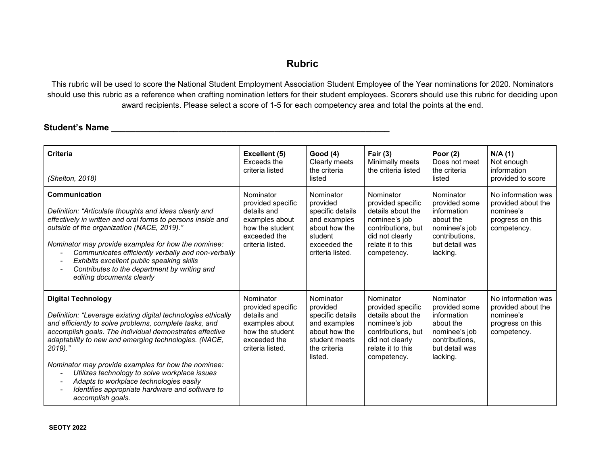## **Rubric**

This rubric will be used to score the National Student Employment Association Student Employee of the Year nominations for 2020. Nominators should use this rubric as a reference when crafting nomination letters for their student employees. Scorers should use this rubric for deciding upon award recipients. Please select a score of 1-5 for each competency area and total the points at the end.

## **Student's Name \_\_\_\_\_\_\_\_\_\_\_\_\_\_\_\_\_\_\_\_\_\_\_\_\_\_\_\_\_\_\_\_\_\_\_\_\_\_\_\_\_\_\_\_\_\_\_\_\_\_\_\_\_\_\_\_\_\_**

| <b>Criteria</b><br>(Shelton, 2018)                                                                                                                                                                                                                                                                                                                                                                                                                                                                                                                                       | Excellent (5)<br>Exceeds the<br>criteria listed                                                                        | <b>Good (4)</b><br>Clearly meets<br>the criteria<br>listed                                                                | Fair $(3)$<br>Minimally meets<br>the criteria listed                                                                                              | Poor $(2)$<br>Does not meet<br>the criteria<br>listed                                                                   | N/A(1)<br>Not enough<br>information<br>provided to score                                 |
|--------------------------------------------------------------------------------------------------------------------------------------------------------------------------------------------------------------------------------------------------------------------------------------------------------------------------------------------------------------------------------------------------------------------------------------------------------------------------------------------------------------------------------------------------------------------------|------------------------------------------------------------------------------------------------------------------------|---------------------------------------------------------------------------------------------------------------------------|---------------------------------------------------------------------------------------------------------------------------------------------------|-------------------------------------------------------------------------------------------------------------------------|------------------------------------------------------------------------------------------|
| Communication<br>Definition: "Articulate thoughts and ideas clearly and<br>effectively in written and oral forms to persons inside and<br>outside of the organization (NACE, 2019)."<br>Nominator may provide examples for how the nominee:<br>Communicates efficiently verbally and non-verbally<br>$\overline{a}$<br>Exhibits excellent public speaking skills<br>$\overline{\phantom{a}}$<br>Contributes to the department by writing and<br>editing documents clearly                                                                                                | Nominator<br>provided specific<br>details and<br>examples about<br>how the student<br>exceeded the<br>criteria listed. | Nominator<br>provided<br>specific details<br>and examples<br>about how the<br>student<br>exceeded the<br>criteria listed. | Nominator<br>provided specific<br>details about the<br>nominee's job<br>contributions, but<br>did not clearly<br>relate it to this<br>competency. | Nominator<br>provided some<br>information<br>about the<br>nominee's job<br>contributions.<br>but detail was<br>lacking. | No information was<br>provided about the<br>nominee's<br>progress on this<br>competency. |
| <b>Digital Technology</b><br>Definition: "Leverage existing digital technologies ethically<br>and efficiently to solve problems, complete tasks, and<br>accomplish goals. The individual demonstrates effective<br>adaptability to new and emerging technologies. (NACE,<br>$2019.$ "<br>Nominator may provide examples for how the nominee:<br>Utilizes technology to solve workplace issues<br>$\overline{\phantom{a}}$<br>Adapts to workplace technologies easily<br>Identifies appropriate hardware and software to<br>$\overline{\phantom{0}}$<br>accomplish goals. | Nominator<br>provided specific<br>details and<br>examples about<br>how the student<br>exceeded the<br>criteria listed. | Nominator<br>provided<br>specific details<br>and examples<br>about how the<br>student meets<br>the criteria<br>listed.    | Nominator<br>provided specific<br>details about the<br>nominee's job<br>contributions, but<br>did not clearly<br>relate it to this<br>competency. | Nominator<br>provided some<br>information<br>about the<br>nominee's job<br>contributions.<br>but detail was<br>lacking. | No information was<br>provided about the<br>nominee's<br>progress on this<br>competency. |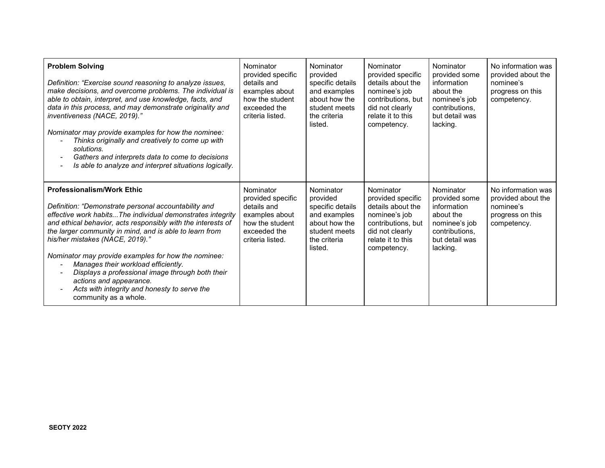| <b>Problem Solving</b><br>Definition: "Exercise sound reasoning to analyze issues,<br>make decisions, and overcome problems. The individual is<br>able to obtain, interpret, and use knowledge, facts, and<br>data in this process, and may demonstrate originality and<br>inventiveness (NACE, 2019)."<br>Nominator may provide examples for how the nominee:<br>Thinks originally and creatively to come up with<br>solutions.<br>Gathers and interprets data to come to decisions<br>$\overline{\phantom{0}}$<br>Is able to analyze and interpret situations logically.<br>$\overline{\phantom{0}}$ | Nominator<br>provided specific<br>details and<br>examples about<br>how the student<br>exceeded the<br>criteria listed. | Nominator<br>provided<br>specific details<br>and examples<br>about how the<br>student meets<br>the criteria<br>listed. | Nominator<br>provided specific<br>details about the<br>nominee's job<br>contributions, but<br>did not clearly<br>relate it to this<br>competency. | Nominator<br>provided some<br>information<br>about the<br>nominee's job<br>contributions.<br>but detail was<br>lacking. | No information was<br>provided about the<br>nominee's<br>progress on this<br>competency. |
|--------------------------------------------------------------------------------------------------------------------------------------------------------------------------------------------------------------------------------------------------------------------------------------------------------------------------------------------------------------------------------------------------------------------------------------------------------------------------------------------------------------------------------------------------------------------------------------------------------|------------------------------------------------------------------------------------------------------------------------|------------------------------------------------------------------------------------------------------------------------|---------------------------------------------------------------------------------------------------------------------------------------------------|-------------------------------------------------------------------------------------------------------------------------|------------------------------------------------------------------------------------------|
| <b>Professionalism/Work Ethic</b><br>Definition: "Demonstrate personal accountability and<br>effective work habits The individual demonstrates integrity<br>and ethical behavior, acts responsibly with the interests of<br>the larger community in mind, and is able to learn from<br>his/her mistakes (NACE, 2019)."<br>Nominator may provide examples for how the nominee:<br>Manages their workload efficiently.<br>٠<br>Displays a professional image through both their<br>actions and appearance.<br>Acts with integrity and honesty to serve the<br>community as a whole.                      | Nominator<br>provided specific<br>details and<br>examples about<br>how the student<br>exceeded the<br>criteria listed. | Nominator<br>provided<br>specific details<br>and examples<br>about how the<br>student meets<br>the criteria<br>listed. | Nominator<br>provided specific<br>details about the<br>nominee's job<br>contributions, but<br>did not clearly<br>relate it to this<br>competency. | Nominator<br>provided some<br>information<br>about the<br>nominee's job<br>contributions.<br>but detail was<br>lacking. | No information was<br>provided about the<br>nominee's<br>progress on this<br>competency. |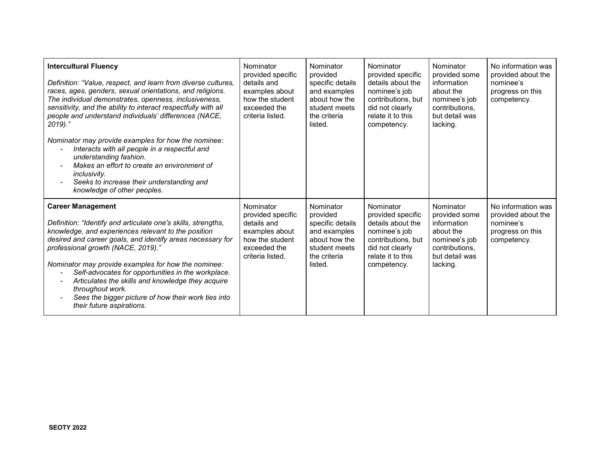| <b>Intercultural Fluency</b><br>Definition: "Value, respect, and learn from diverse cultures,<br>races, ages, genders, sexual orientations, and religions.<br>The individual demonstrates, openness, inclusiveness,<br>sensitivity, and the ability to interact respectfully with all<br>people and understand individuals' differences (NACE,<br>$2019.$ "<br>Nominator may provide examples for how the nominee:<br>Interacts with all people in a respectful and<br>understanding fashion.<br>Makes an effort to create an environment of<br><i>inclusivity.</i><br>Seeks to increase their understanding and<br>knowledge of other peoples. | Nominator<br>provided specific<br>details and<br>examples about<br>how the student<br>exceeded the<br>criteria listed. | Nominator<br>provided<br>specific details<br>and examples<br>about how the<br>student meets<br>the criteria<br>listed. | Nominator<br>provided specific<br>details about the<br>nominee's job<br>contributions, but<br>did not clearly<br>relate it to this<br>competency. | Nominator<br>provided some<br>information<br>about the<br>nominee's job<br>contributions.<br>but detail was<br>lacking. | No information was<br>provided about the<br>nominee's<br>progress on this<br>competency. |
|-------------------------------------------------------------------------------------------------------------------------------------------------------------------------------------------------------------------------------------------------------------------------------------------------------------------------------------------------------------------------------------------------------------------------------------------------------------------------------------------------------------------------------------------------------------------------------------------------------------------------------------------------|------------------------------------------------------------------------------------------------------------------------|------------------------------------------------------------------------------------------------------------------------|---------------------------------------------------------------------------------------------------------------------------------------------------|-------------------------------------------------------------------------------------------------------------------------|------------------------------------------------------------------------------------------|
| <b>Career Management</b><br>Definition: "Identify and articulate one's skills, strengths,<br>knowledge, and experiences relevant to the position<br>desired and career goals, and identify areas necessary for<br>professional growth (NACE, 2019)."<br>Nominator may provide examples for how the nominee:<br>Self-advocates for opportunities in the workplace.<br>Articulates the skills and knowledge they acquire<br>throughout work.<br>Sees the bigger picture of how their work ties into<br>their future aspirations.                                                                                                                  | Nominator<br>provided specific<br>details and<br>examples about<br>how the student<br>exceeded the<br>criteria listed. | Nominator<br>provided<br>specific details<br>and examples<br>about how the<br>student meets<br>the criteria<br>listed. | Nominator<br>provided specific<br>details about the<br>nominee's job<br>contributions, but<br>did not clearly<br>relate it to this<br>competency. | Nominator<br>provided some<br>information<br>about the<br>nominee's job<br>contributions.<br>but detail was<br>lacking. | No information was<br>provided about the<br>nominee's<br>progress on this<br>competency. |